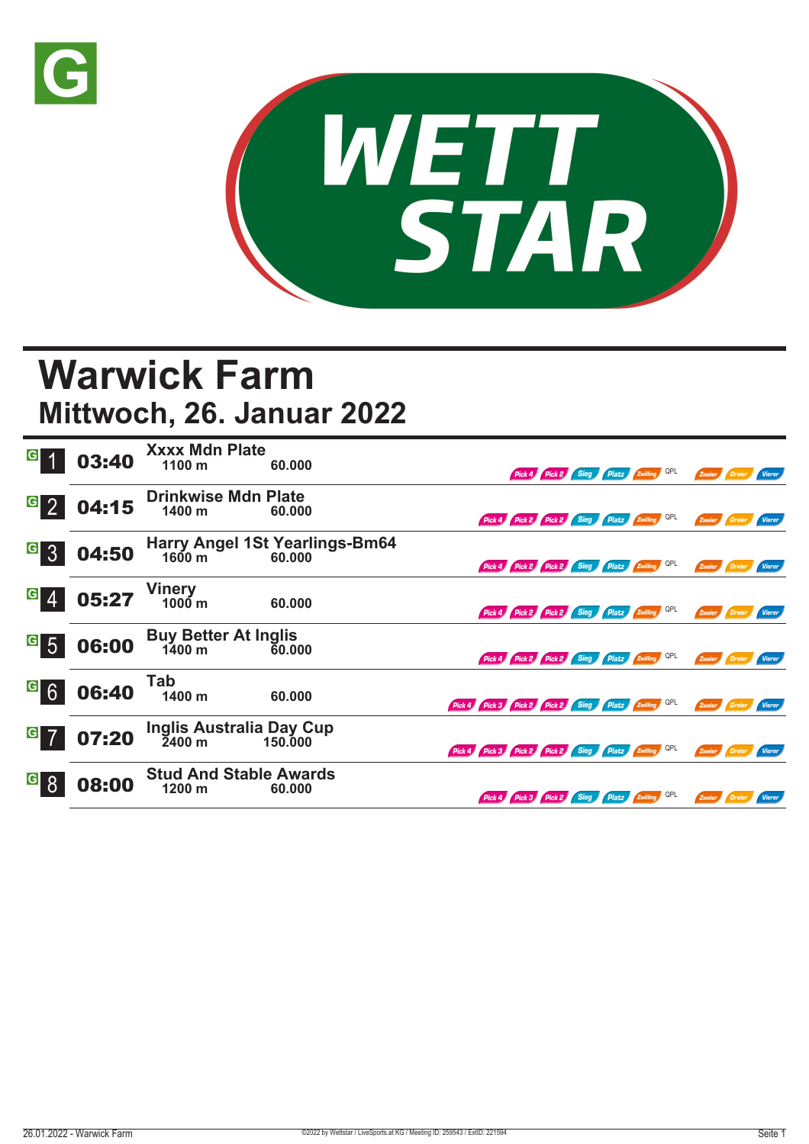



## **Warwick Farm Mittwoch, 26. Januar 2022**

| $\overline{G}$                   | 03:40 | <b>Xxxx Mdn Plate</b><br>1100 m                 | 60,000                                   |                                                     |                                              |  | Pick 4 Pick 2 Sieg Platz Zwilling QPL | Zweier Dreier |               | Vierer |
|----------------------------------|-------|-------------------------------------------------|------------------------------------------|-----------------------------------------------------|----------------------------------------------|--|---------------------------------------|---------------|---------------|--------|
| G <sub>2</sub>                   | 04:15 | <b>Drinkwise Mdn Plate</b><br>1400 m            | 60.000                                   |                                                     | Pick 4 Pick 2 Pick 2 Sieg Platz Zwilling QPL |  |                                       | Zweier        | <b>Dreier</b> | Vierer |
| $\overline{G}$<br>$\overline{3}$ | 04:50 | 1600 m                                          | Harry Angel 1St Yearlings-Bm64<br>60.000 |                                                     | Pick 4 Pick 2 Pick 2 Sieg Platz Zwilling QPL |  |                                       | Zweier        | Dreier        | Vierer |
| $\overline{G}$                   | 05:27 | <b>Vinery</b><br>$1000 \text{ m}$               | 60.000                                   |                                                     | Pick 4 Pick 2 Pick 2 Sieg Platz Zwilling QPL |  |                                       | Zweier Dreier |               | Vierer |
| $\frac{G}{5}$                    | 06:00 | <b>Buy Better At Inglis</b><br>$1400 \; m$      | 60.000                                   |                                                     | Pick 4 Pick 2 Pick 2 Sieg Platz Zwilling QPL |  |                                       | Zweier Dreier |               | Vierer |
| G6                               | 06:40 | Tab<br>1400 m                                   | 60.000                                   | Pick 4 Pick 3 Pick 2 Pick 2 Sieg Platz Zwilling QPL |                                              |  |                                       | Zweier        | Dreier        | Vierer |
| $\mathbf{G}$                     | 07:20 | Inglis Australia Day Cup<br>$\overline{2}400$ m | 150,000                                  | Pick 4 Pick 3 Pick 2 Pick 2 Sieg Platz Zwilling QPL |                                              |  |                                       | Zweier Dreier |               | Vierer |
| $\vert G \vert$                  | 08:00 | <b>Stud And Stable Awards</b><br>1200 m         | 60.000                                   |                                                     | Pick 4 Pick 3 Pick 2 Sieg Platz Zwilling QPL |  |                                       | Zweier Dreier |               | Vierer |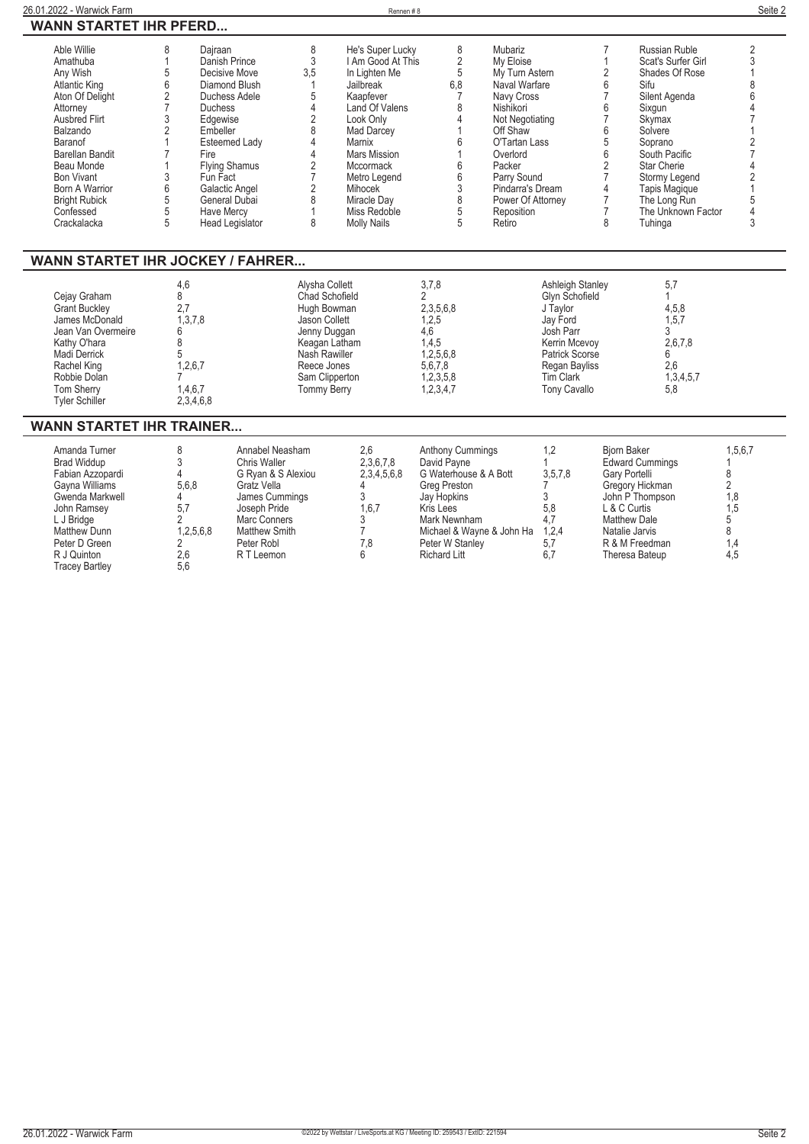**WANN STARTET IHR PFERD...**

| Able Willie<br>Amathuba<br>Any Wish<br><b>Atlantic King</b><br>Aton Of Delight<br>Attorney<br><b>Ausbred Flirt</b><br>Balzando<br>Baranof<br><b>Barellan Bandit</b><br>Beau Monde<br><b>Bon Vivant</b><br><b>Born A Warrior</b><br><b>Bright Rubick</b><br>Confessed<br>Crackalacka<br><b>WANN STARTET IHR JOCKEY / FAHRER</b> | 8<br>Dajraan<br>$\overline{1}$<br>$\sqrt{5}$<br>$\begin{array}{c} 6 \\ 2 \\ 7 \end{array}$<br><b>Duchess</b><br>$\mathfrak{Z}$<br>Edgewise<br>$\sqrt{2}$<br>Embeller<br>$\mathbf{1}$<br>$\overline{7}$<br>Fire<br>1<br>3<br>Fun Fact<br>$\,6$<br>$\sqrt{5}$<br>$\overline{5}$<br><b>Have Mercy</b><br>5 | Danish Prince<br>3,5<br>Decisive Move<br><b>Diamond Blush</b><br>Duchess Adele<br><b>Esteemed Lady</b><br><b>Flying Shamus</b><br>Galactic Angel<br>General Dubai<br>1<br>Head Legislator | 8<br>3<br>1<br>5<br>$\overline{4}$<br>$\overline{c}$<br>8<br>$\overline{4}$<br>$\overline{4}$<br>$\sqrt{2}$<br>$\overline{7}$<br>$\overline{2}$<br>8<br>8                        | He's Super Lucky<br>I Am Good At This<br>In Lighten Me<br>Jailbreak<br>Kaapfever<br>Land Of Valens<br>Look Only<br>Mad Darcey<br>Marnix<br><b>Mars Mission</b><br>Mccormack<br>Metro Legend<br>Mihocek<br>Miracle Day<br>Miss Redoble<br><b>Molly Nails</b> | 8<br>$\frac{2}{5}$<br>6,8<br>$\overline{7}$<br>8<br>$\overline{4}$<br>6<br>$\overline{1}$<br>$\boldsymbol{6}$<br>$\,6$<br>$\frac{3}{8}$<br>$\overline{5}$<br>5                                     | Mubariz<br>My Eloise<br>My Turn Astern<br>Naval Warfare<br>Navy Cross<br>Nishikori<br>Not Negotiating<br>Off Shaw<br>O'Tartan Lass<br>Overlord<br>Packer<br>Parry Sound<br>Pindarra's Dream<br>Power Of Attorney<br>Reposition<br>Retiro |                                                                                                                                                                        | 7<br>$\mathbf{1}$<br>$\overline{2}$<br>6<br>$\overline{7}$<br>6<br>$\overline{7}$<br>6<br>5<br>$6\phantom{a}$<br>$\overline{2}$<br>$\overline{7}$<br>$\overline{4}$<br>$\overline{7}$<br>$\overline{7}$<br>8 | <b>Russian Ruble</b><br>Scat's Surfer Girl<br>Shades Of Rose<br>Sifu<br>Silent Agenda<br>Sixqun<br>Skymax<br>Solvere<br>Soprano<br>South Pacific<br>Star Cherie<br>Stormy Legend<br>Tapis Magique<br>The Long Run<br>The Unknown Factor<br>Tuhinga | $\sqrt{2}$<br>$\overline{3}$<br>1<br>$\begin{array}{c} 8 \\ 6 \\ 4 \end{array}$<br>$\overline{7}$<br>$\mathbf{1}$<br>$\frac{2}{7}$<br>$\begin{array}{c} 4 \\ 2 \\ 1 \end{array}$<br>$\frac{5}{4}$<br>3 |
|--------------------------------------------------------------------------------------------------------------------------------------------------------------------------------------------------------------------------------------------------------------------------------------------------------------------------------|---------------------------------------------------------------------------------------------------------------------------------------------------------------------------------------------------------------------------------------------------------------------------------------------------------|-------------------------------------------------------------------------------------------------------------------------------------------------------------------------------------------|----------------------------------------------------------------------------------------------------------------------------------------------------------------------------------|-------------------------------------------------------------------------------------------------------------------------------------------------------------------------------------------------------------------------------------------------------------|----------------------------------------------------------------------------------------------------------------------------------------------------------------------------------------------------|------------------------------------------------------------------------------------------------------------------------------------------------------------------------------------------------------------------------------------------|------------------------------------------------------------------------------------------------------------------------------------------------------------------------|--------------------------------------------------------------------------------------------------------------------------------------------------------------------------------------------------------------|----------------------------------------------------------------------------------------------------------------------------------------------------------------------------------------------------------------------------------------------------|--------------------------------------------------------------------------------------------------------------------------------------------------------------------------------------------------------|
| Cejay Graham<br><b>Grant Buckley</b><br>James McDonald<br>Jean Van Overmeire<br>Kathy O'hara<br>Madi Derrick<br>Rachel King<br>Robbie Dolan<br>Tom Sherry<br><b>Tyler Schiller</b>                                                                                                                                             | 4,6<br>8<br>2.7<br>1,3,7,8<br>6<br>8<br>5<br>1,2,6,7<br>1,4,6,7<br>2,3,4,6,8                                                                                                                                                                                                                            |                                                                                                                                                                                           | Alysha Collett<br><b>Chad Schofield</b><br>Hugh Bowman<br>Jason Collett<br>Jenny Duggan<br>Keagan Latham<br>Nash Rawiller<br>Reece Jones<br>Sam Clipperton<br><b>Tommy Berry</b> |                                                                                                                                                                                                                                                             | 3,7,8<br>$\overline{2}$<br>2,3,5,6,8<br>1,2,5<br>4,6<br>1,4,5<br>1,2,5,6,8<br>5,6,7,8<br>1,2,3,5,8<br>1,2,3,4,7                                                                                    |                                                                                                                                                                                                                                          | Ashleigh Stanley<br>Glyn Schofield<br>J Taylor<br>Jay Ford<br>Josh Parr<br>Kerrin Mcevoy<br>Patrick Scorse<br><b>Regan Bayliss</b><br><b>Tim Clark</b><br>Tony Cavallo |                                                                                                                                                                                                              | 5,7<br>$\mathbf{1}$<br>4,5,8<br>1,5,7<br>3<br>2,6,7,8<br>6<br>2.6<br>1,3,4,5,7<br>5,8                                                                                                                                                              |                                                                                                                                                                                                        |
| <b>WANN STARTET IHR TRAINER</b>                                                                                                                                                                                                                                                                                                |                                                                                                                                                                                                                                                                                                         |                                                                                                                                                                                           |                                                                                                                                                                                  |                                                                                                                                                                                                                                                             |                                                                                                                                                                                                    |                                                                                                                                                                                                                                          |                                                                                                                                                                        |                                                                                                                                                                                                              |                                                                                                                                                                                                                                                    |                                                                                                                                                                                                        |
| Amanda Turner<br><b>Brad Widdup</b><br>Fabian Azzopardi<br>Gayna Williams<br>Gwenda Markwell<br>John Ramsey<br>L J Bridge<br>Matthew Dunn<br>Peter D Green<br>R J Quinton<br><b>Tracey Bartley</b>                                                                                                                             | 8<br>3<br>4<br>5.6.8<br>4<br>5,7<br>$\overline{2}$<br>1,2,5,6,8<br>2<br>2,6<br>5,6                                                                                                                                                                                                                      | Annabel Neasham<br>Chris Waller<br>G Ryan & S Alexiou<br>Gratz Vella<br>James Cummings<br>Joseph Pride<br>Marc Conners<br>Matthew Smith<br>Peter Robl<br>R T Leemon                       |                                                                                                                                                                                  | 2,6<br>2,3,6,7,8<br>2,3,4,5,6,8<br>4<br>3<br>1.6.7<br>3<br>$\overline{7}$<br>7,8<br>6                                                                                                                                                                       | <b>Anthony Cummings</b><br>David Payne<br>G Waterhouse & A Bott<br>Greg Preston<br>Jay Hopkins<br>Kris Lees<br>Mark Newnham<br>Michael & Wayne & John Ha<br>Peter W Stanley<br><b>Richard Litt</b> |                                                                                                                                                                                                                                          | 1,2<br>1<br>3,5,7,8<br>7<br>3<br>5.8<br>4,7<br>1,2,4<br>5,7<br>6.7                                                                                                     | <b>Biorn Baker</b><br>Gary Portelli<br>L & C Curtis<br><b>Matthew Dale</b><br>Natalie Jarvis<br>Theresa Bateup                                                                                               | <b>Edward Cummings</b><br>Gregory Hickman<br>John P Thompson<br>R & M Freedman                                                                                                                                                                     | 1,5,6,7<br>$\bf 8$<br>$\overline{2}$<br>1,8<br>1.5<br>5<br>8<br>1,4<br>4,5                                                                                                                             |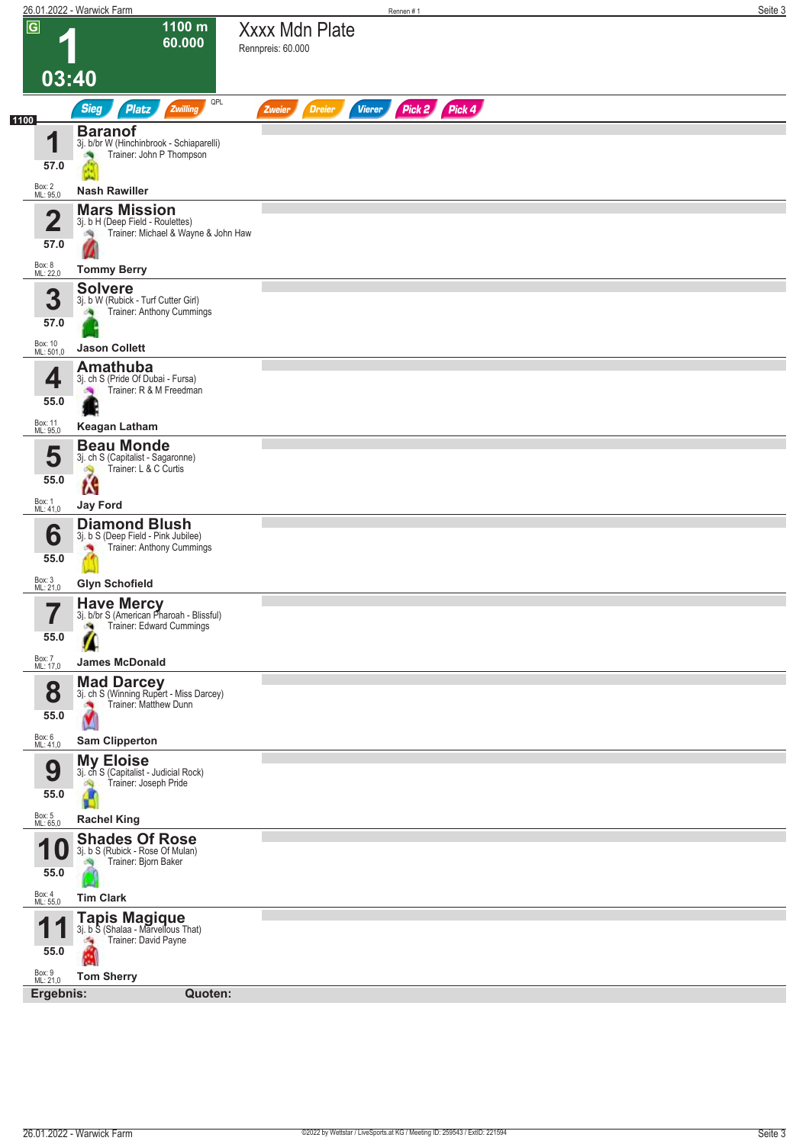|                                 | 26.01.2022 - Warwick Farm                                                                           |                                            | Rennen #1     |               | Seite 3 |
|---------------------------------|-----------------------------------------------------------------------------------------------------|--------------------------------------------|---------------|---------------|---------|
| $\overline{G}$                  | 1100 m<br>60.000                                                                                    | <b>Xxxx Mdn Plate</b><br>Rennpreis: 60.000 |               |               |         |
| 03:40                           |                                                                                                     |                                            |               |               |         |
|                                 | QPL<br><b>Sieg</b><br><b>Platz</b><br>Zwilling                                                      | <b>Dreier</b><br>Zweier                    | <b>Vierer</b> | Pick 2 Pick 4 |         |
| 1100<br>и<br>57.0               | <b>Baranof</b><br>3j. b/br W (Hinchinbrook - Schiaparelli)<br>Trainer: John P Thompson              |                                            |               |               |         |
| Box: 2<br>ML: 95,0              | <b>Nash Rawiller</b>                                                                                |                                            |               |               |         |
| $\overline{\mathbf{2}}$<br>57.0 | <b>Mars Mission</b><br>3j. b H (Deep Field - Roulettes)<br>Trainer: Michael & Wayne & John Haw<br>鸿 |                                            |               |               |         |
| Box: 8<br>ML: 22,0              | <b>Tommy Berry</b>                                                                                  |                                            |               |               |         |
| 3<br>57.0                       | <b>Solvere</b><br>3j. b W (Rubick - Turf Cutter Girl)<br>Trainer: Anthony Cummings                  |                                            |               |               |         |
| Box: 10<br>ML: 501,0            | <b>Jason Collett</b>                                                                                |                                            |               |               |         |
| 4<br>55.0                       | <b>Amathuba</b><br>3j. ch S (Pride Of Dubai - Fursa)<br>Trainer: R & M Freedman                     |                                            |               |               |         |
| Box: 11                         | <b>Keagan Latham</b>                                                                                |                                            |               |               |         |
| ML: 95,0<br>5<br>55.0           | <b>Beau Monde</b><br>3j. ch S (Capitalist - Sagaronne)<br>Trainer: L & C Curtis<br>Ŵ                |                                            |               |               |         |
| Box: 1<br>ML: 41,0              | м<br><b>Jay Ford</b>                                                                                |                                            |               |               |         |
| 6<br>55.0                       | <b>Diamond Blush</b><br>3j. b S (Deep Field - Pink Jubilee)<br>Trainer: Anthony Cummings            |                                            |               |               |         |
| Box: 3<br>ML: 21,0              | <b>Glyn Schofield</b>                                                                               |                                            |               |               |         |
| 7<br>ı<br>55.0                  | Have Mercy<br>3j. b/br S (American Pharoah - Blissful)<br>Trainer: Edward Cummings<br>æ,            |                                            |               |               |         |
| Box: 7<br>ML: 17,0              | <b>James McDonald</b>                                                                               |                                            |               |               |         |
| 8<br>55.0                       | <b>Mad Darcey</b><br>3j. ch S (Winning Rupert - Miss Darcey)<br>Trainer: Matthew Dunn               |                                            |               |               |         |
| Box: 6<br>ML: 41,0              | <b>Sam Clipperton</b>                                                                               |                                            |               |               |         |
| 9<br>55.0                       | <b>My Eloise</b><br>3j. ch S (Capitalist - Judicial Rock)<br>Trainer: Joseph Pride<br>d C           |                                            |               |               |         |
| Box: 5<br>ML: 65,0              | <b>Rachel King</b>                                                                                  |                                            |               |               |         |
| и<br>10<br>55.0                 | <b>Shades Of Rose</b><br>3j. b S (Rubick - Rose Of Mulan)<br>Trainer: Bjorn Baker                   |                                            |               |               |         |
| Box: 4<br>ML: 55,0              | <b>Tim Clark</b>                                                                                    |                                            |               |               |         |
| 1<br>55.0                       | <b>Tapis Magique</b><br>3j. b S (Shalaa - Marvellous That)<br>Trainer: David Payne<br>÷,            |                                            |               |               |         |
| Box: 9<br>ML: 21,0              | <b>Tom Sherry</b>                                                                                   |                                            |               |               |         |
| Ergebnis:                       | Quoten:                                                                                             |                                            |               |               |         |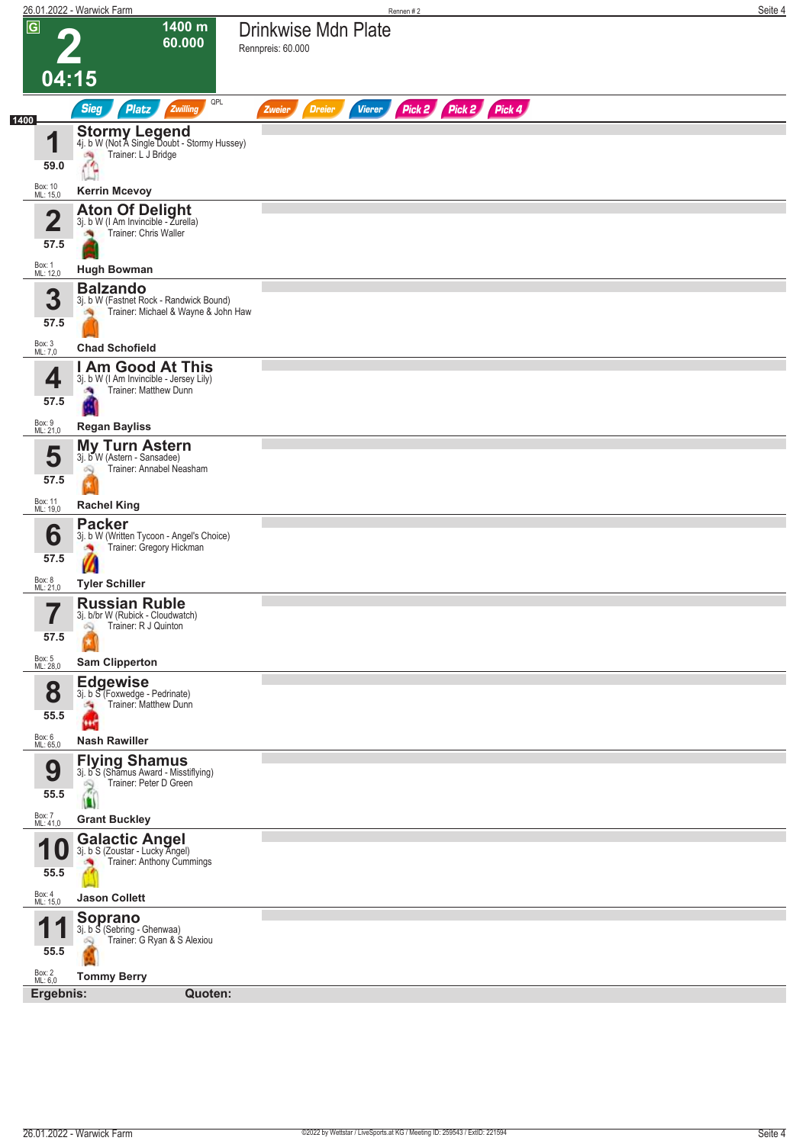|                                 | 26.01.2022 - Warwick Farm                                                                                                              |                                          | Rennen#2      |                      | Seite 4 |
|---------------------------------|----------------------------------------------------------------------------------------------------------------------------------------|------------------------------------------|---------------|----------------------|---------|
| $\overline{G}$                  | 1400 m<br>60.000                                                                                                                       | Drinkwise Mdn Plate<br>Rennpreis: 60.000 |               |                      |         |
|                                 | 04:15                                                                                                                                  |                                          |               |                      |         |
|                                 | QPL<br><b>Sieg</b><br><b>Platz</b><br>Zwilling                                                                                         | <b>Dreier</b><br>Zweier                  | <b>Vierer</b> | Pick 2 Pick 2 Pick 4 |         |
| 1400<br>1<br>59.0               | <b>Stormy Legend</b><br>4j. b W (Not A Single Doubt - Stormy Hussey)<br>Trainer: L J Bridge<br>÷,<br>4                                 |                                          |               |                      |         |
| Box: 10<br>ML: 15,0             | <b>Kerrin Mcevoy</b>                                                                                                                   |                                          |               |                      |         |
| $\overline{\mathbf{2}}$<br>57.5 | <b>Aton Of Delight</b> 3j. b W (I Am Invincible - Zurella)<br>Trainer: Chris Waller                                                    |                                          |               |                      |         |
| Box: 1<br>ML: 12,0              | <b>Hugh Bowman</b>                                                                                                                     |                                          |               |                      |         |
| 3<br>57.5                       | <b>Balzando</b><br>3j. b W (Fastnet Rock - Randwick Bound)<br>Trainer: Michael & Wayne & John Haw                                      |                                          |               |                      |         |
| Box: 3<br>ML: 7,0               | <b>Chad Schofield</b>                                                                                                                  |                                          |               |                      |         |
| 4<br>57.5                       | I Am Good At This<br>3j. b W (I Am Invincible - Jersey Lily)<br>Trainer: Matthew Dunn<br>æ                                             |                                          |               |                      |         |
|                                 |                                                                                                                                        |                                          |               |                      |         |
| Box: 9<br>ML: 21,0              | <b>Regan Bayliss</b><br><b>My Turn Astern</b>                                                                                          |                                          |               |                      |         |
| 5<br>57.5                       | 3j. b W (Astern - Sansadee)<br>Trainer: Annabel Neasham<br>Q                                                                           |                                          |               |                      |         |
| Box: 11<br>ML: 19,0             | <b>Rachel King</b>                                                                                                                     |                                          |               |                      |         |
| 6<br>57.5<br>Box: 8<br>ML: 21,0 | <b>Packer</b><br>3j. b W (Written Tycoon - Angel's Choice)<br>Trainer: Gregory Hickman<br>$\boldsymbol{\eta}$<br><b>Tyler Schiller</b> |                                          |               |                      |         |
| 7<br>57.5                       | <b>Russian Ruble</b><br>3j. b/br W (Rubick - Cloudwatch)<br>Trainer: R J Quinton<br>Q                                                  |                                          |               |                      |         |
| Box: 5<br>ML: 28,0              | <b>Sam Clipperton</b>                                                                                                                  |                                          |               |                      |         |
| 8<br>55.5                       | <b>Edgewise</b><br>3j. b S (Foxwedge - Pedrinate)<br>Trainer: Matthew Dunn<br>÷.<br>                                                   |                                          |               |                      |         |
| Box: 6<br>ML: 65,0              | <b>Nash Rawiller</b>                                                                                                                   |                                          |               |                      |         |
| 9<br>55.5                       | <b>Flying Shamus</b><br>3j. b S (Shamus Award - Misstiflying)<br>Trainer: Peter D Green<br>R<br>$\mathbf{u}$                           |                                          |               |                      |         |
| Box: 7<br>ML: 41,0              | <b>Grant Buckley</b>                                                                                                                   |                                          |               |                      |         |
| и<br>1 U<br>55.5                | <b>Galactic Angel</b><br>3j. b S (Zoustar - Lucky Angel)<br>Trainer: Anthony Cummings                                                  |                                          |               |                      |         |
| Box: 4<br>ML: 15,0              | <b>Jason Collett</b>                                                                                                                   |                                          |               |                      |         |
| А<br>55.5                       | <b>Soprano</b><br>3j. b S (Sebring - Ghenwaa)<br>Trainer: G Ryan & S Alexiou<br>Ŵ                                                      |                                          |               |                      |         |
| Box: 2<br>ML: 6,0<br>Ergebnis:  | <b>Tommy Berry</b><br>Quoten:                                                                                                          |                                          |               |                      |         |
|                                 |                                                                                                                                        |                                          |               |                      |         |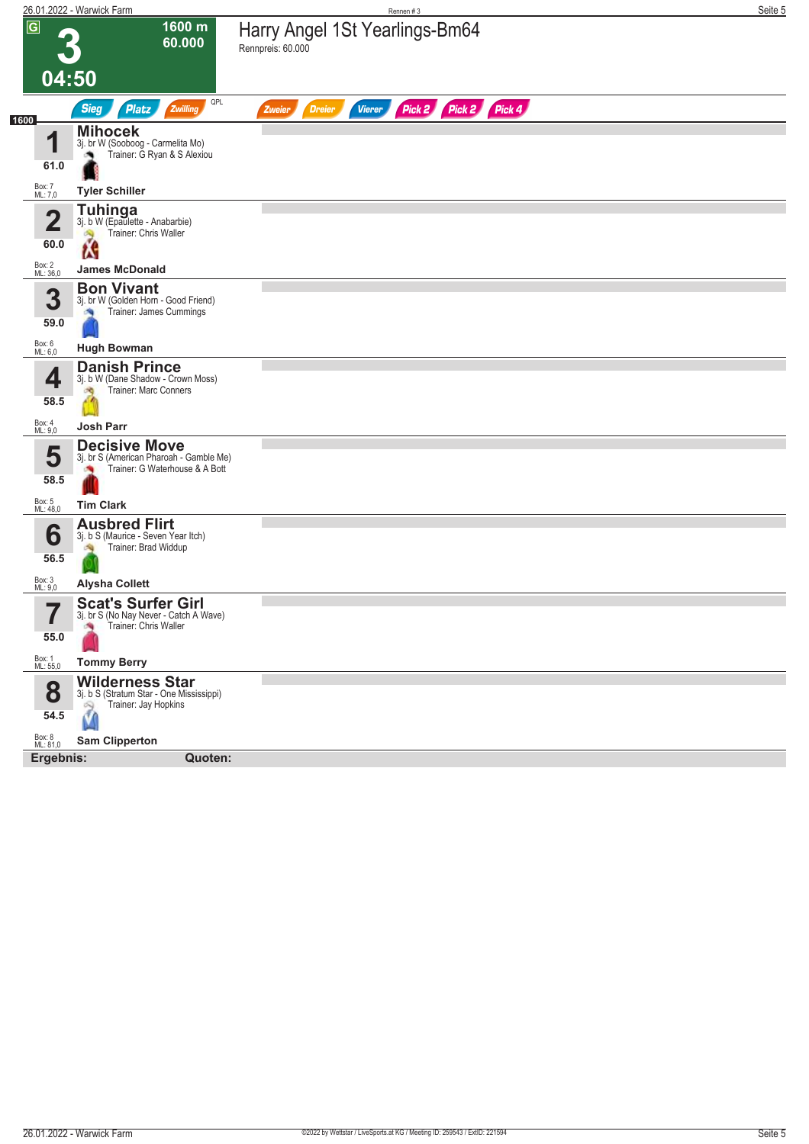|                                 | 26.01.2022 - Warwick Farm                                                                                     | Rennen#3                                                         | Seite 5 |
|---------------------------------|---------------------------------------------------------------------------------------------------------------|------------------------------------------------------------------|---------|
| $\overline{G}$                  | 1600 m<br>60.000                                                                                              | Harry Angel 1St Yearlings-Bm64<br>Rennpreis: 60.000              |         |
| 04:50                           |                                                                                                               |                                                                  |         |
|                                 | QPL<br><b>Sieg</b><br><b>Platz</b><br>Zwilling                                                                | Pick 2 Pick 2 Pick 4<br><b>Dreier</b><br>Zweier<br><b>Vierer</b> |         |
| 1600<br>1<br>61.0               | <b>Mihocek</b><br>3j. br W (Sooboog - Carmelita Mo)<br>Trainer: G Ryan & S Alexiou                            |                                                                  |         |
| Box: 7<br>ML: 7,0               | <b>Tyler Schiller</b>                                                                                         |                                                                  |         |
| $\overline{\mathbf{2}}$<br>60.0 | <b>Tuhinga</b><br>3j. b W (Epaulette - Anabarbie)<br>Trainer: Chris Waller<br>Ñ<br>Ń                          |                                                                  |         |
| Box: 2<br>ML: 36,0              | <b>James McDonald</b>                                                                                         |                                                                  |         |
| 3<br>59.0                       | <b>Bon Vivant</b><br>3j. br W (Golden Horn - Good Friend)<br>Trainer: James Cummings                          |                                                                  |         |
| Box: 6<br>ML: 6,0               | <b>Hugh Bowman</b>                                                                                            |                                                                  |         |
| 4<br>58.5<br>Box: 4<br>ML: 9,0  | <b>Danish Prince</b><br>3j. b W (Dane Shadow - Crown Moss)<br>Trainer: Marc Conners<br>đ.<br><b>Josh Parr</b> |                                                                  |         |
| 5<br>58.5                       | <b>Decisive Move</b><br>3j. br S (American Pharoah - Gamble Me)<br>Trainer: G Waterhouse & A Bott             |                                                                  |         |
| Box: 5<br>ML: 48,0              | <b>Tim Clark</b>                                                                                              |                                                                  |         |
| 6<br>56.5                       | <b>Ausbred Flirt</b><br>3j. b S (Maurice - Seven Year Itch)<br>Trainer: Brad Widdup                           |                                                                  |         |
| Box: 3<br>ML: 9,0               | <b>Alysha Collett</b>                                                                                         |                                                                  |         |
| 7<br>I<br>55.0                  | <b>Scat's Surfer Girl</b><br>3j. br S (No Nay Never - Catch A Wave)<br>Trainer: Chris Waller                  |                                                                  |         |
| Box: 1<br>ML: 55,0              | <b>Tommy Berry</b>                                                                                            |                                                                  |         |
| 8<br>54.5                       | <b>Wilderness Star</b><br>3j. b S (Stratum Star - One Mississippi)<br>Trainer: Jay Hopkins<br>Q<br>Ŵ          |                                                                  |         |
| Box: 8<br>ML: 81,0              | <b>Sam Clipperton</b>                                                                                         |                                                                  |         |
| Ergebnis:                       | Quoten:                                                                                                       |                                                                  |         |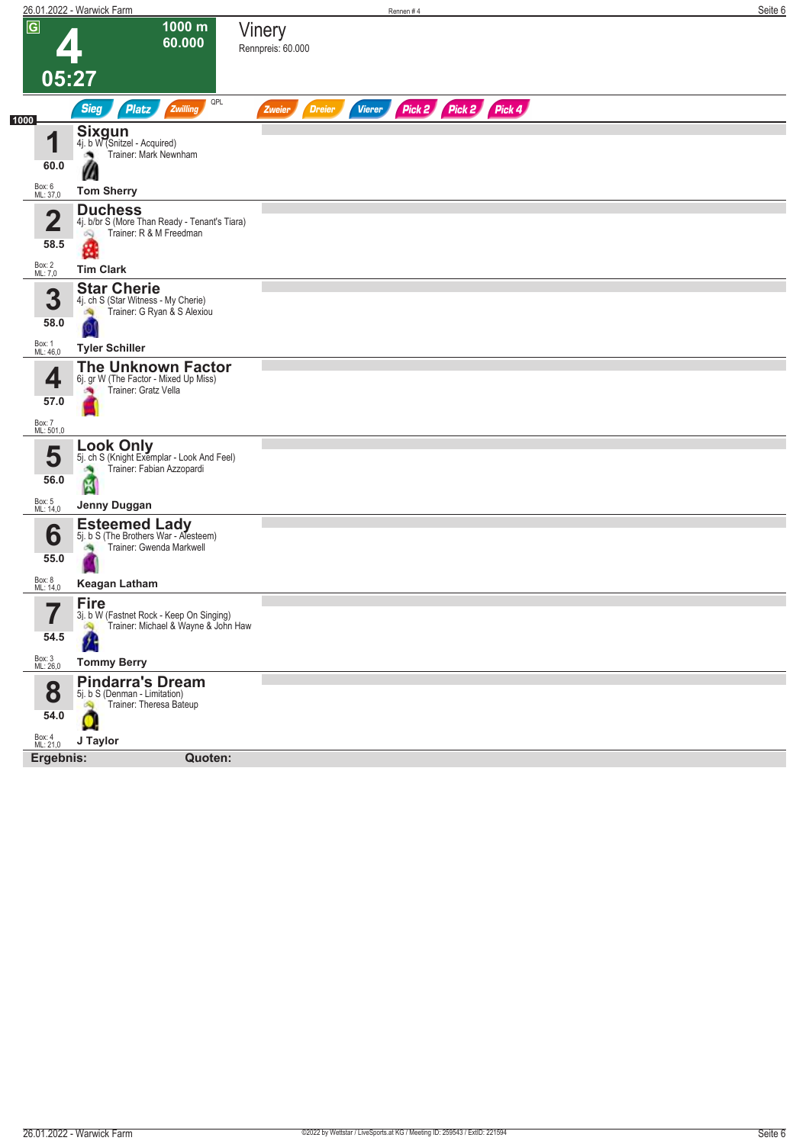|                     | 26.01.2022 - Warwick Farm                                                            | Rennen #4                                                 | Seite 6 |
|---------------------|--------------------------------------------------------------------------------------|-----------------------------------------------------------|---------|
| $\overline{G}$      | 1000 m<br>60.000                                                                     | Vinery<br>Rennpreis: 60.000                               |         |
| 05:27               |                                                                                      |                                                           |         |
|                     | QPL<br><b>Sieg</b><br><b>Platz</b><br>Zwilling                                       | Pick 2 Pick 2 Pick 4<br><b>Dreier</b><br>Vierer<br>Zweier |         |
| 1000                |                                                                                      |                                                           |         |
| и<br>ш              | <b>Sixgun</b><br>4j. b W (Snitzel - Acquired)<br>Trainer: Mark Newnham               |                                                           |         |
| 60.0                | W                                                                                    |                                                           |         |
| Box: 6<br>ML: 37,0  | <b>Tom Sherry</b>                                                                    |                                                           |         |
| $\overline{2}$      | <b>Duchess</b>                                                                       |                                                           |         |
|                     | 4j. b/br S (More Than Ready - Tenant's Tiara)<br>Trainer: R & M Freedman<br>$\infty$ |                                                           |         |
| 58.5                | g                                                                                    |                                                           |         |
| Box: 2<br>ML: 7,0   | <b>Tim Clark</b>                                                                     |                                                           |         |
| 3                   | <b>Star Cherie</b><br>4j. ch S (Star Witness - My Cherie)                            |                                                           |         |
| 58.0                | Trainer: G Ryan & S Alexiou<br>肉                                                     |                                                           |         |
|                     |                                                                                      |                                                           |         |
| Box: 1<br>ML: 46,0  | <b>Tyler Schiller</b><br><b>The Unknown Factor</b>                                   |                                                           |         |
| 4                   | 6j. gr W (The Factor - Mixed Up Miss)                                                |                                                           |         |
| 57.0                | Trainer: Gratz Vella                                                                 |                                                           |         |
| Box: 7<br>ML: 501,0 |                                                                                      |                                                           |         |
|                     | Look Only                                                                            |                                                           |         |
| 5                   | 5j. ch S (Knight Exemplar - Look And Feel)<br>Trainer: Fabian Azzopardi<br>×         |                                                           |         |
| 56.0                | 圏                                                                                    |                                                           |         |
| Box: 5<br>ML: 14,0  | Jenny Duggan                                                                         |                                                           |         |
| 6                   | <b>Esteemed Lady</b><br>5j. b S (The Brothers War - Alesteem)                        |                                                           |         |
|                     | Trainer: Gwenda Markwell                                                             |                                                           |         |
| 55.0                |                                                                                      |                                                           |         |
| Box: 8<br>ML: 14,0  | <b>Keagan Latham</b>                                                                 |                                                           |         |
| 7                   | <b>Fire</b><br>3j. b W (Fastnet Rock - Keep On Singing)                              |                                                           |         |
| 54.5                | Trainer: Michael & Wayne & John Haw                                                  |                                                           |         |
| Box: 3<br>ML: 26,0  | <b>Tommy Berry</b>                                                                   |                                                           |         |
|                     | <b>Pindarra's Dream</b>                                                              |                                                           |         |
| 8                   | 5j. b S (Denman - Limitation)<br>Trainer: Theresa Bateup<br>$\mathbb{Z}$             |                                                           |         |
| 54.0                | O                                                                                    |                                                           |         |
| Box: 4<br>ML: 21,0  | J Taylor                                                                             |                                                           |         |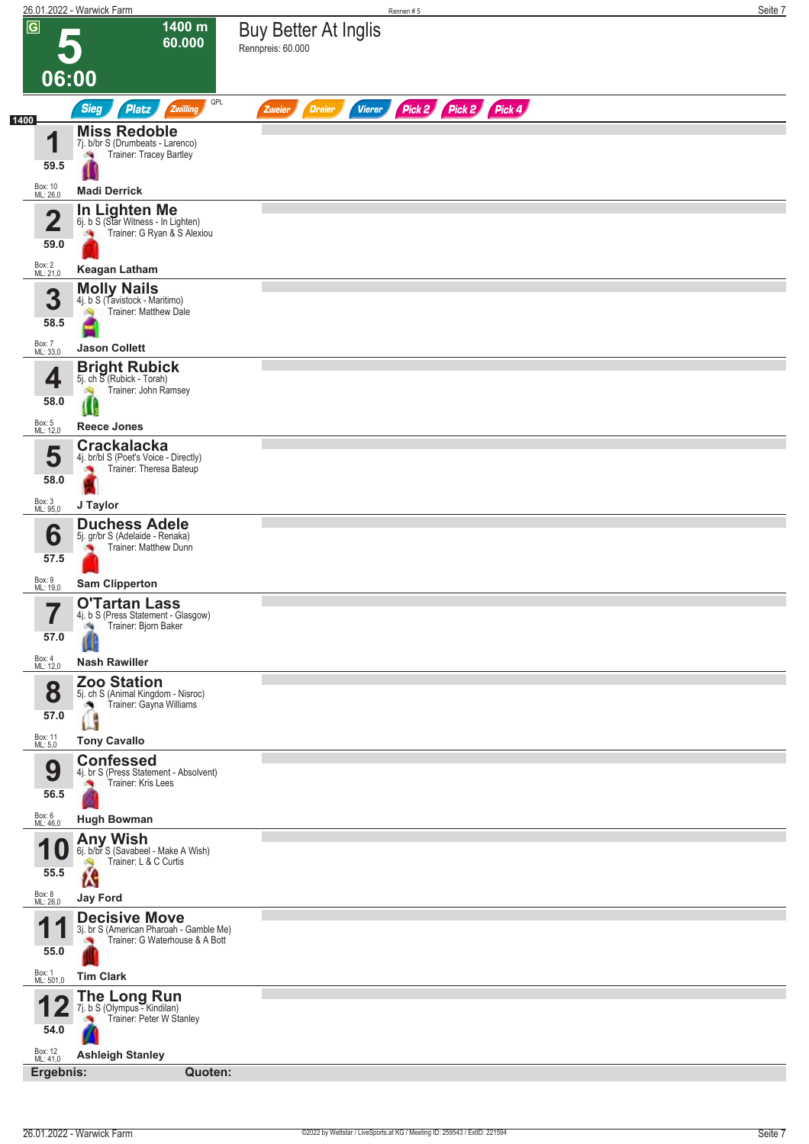|                                 | 26.01.2022 - Warwick Farm                                                                         | Rennen#5                                                         | Seite 7 |
|---------------------------------|---------------------------------------------------------------------------------------------------|------------------------------------------------------------------|---------|
| $\overline{G}$                  | 1400 m<br>60.000                                                                                  | <b>Buy Better At Inglis</b><br>Rennpreis: 60.000                 |         |
| 06:00                           |                                                                                                   |                                                                  |         |
|                                 | QPL<br><b>Sieg</b><br><b>Platz</b><br>Zwilling                                                    | Pick 2 Pick 2 Pick 4<br><b>Dreier</b><br><b>Vierer</b><br>Zweier |         |
| 1400<br>4<br>59.5               | <b>Miss Redoble</b><br>7j. b/br S (Drumbeats - Larenco)<br>Trainer: Tracey Bartley<br>阀           |                                                                  |         |
| Box: 10<br>ML: 26,0             | <b>Madi Derrick</b>                                                                               |                                                                  |         |
| $\overline{\mathbf{2}}$<br>59.0 | <b>In Lighten Me</b><br>6j. b S (Star Witness - In Lighten)<br>Trainer: G Ryan & S Alexiou<br>鸿   |                                                                  |         |
| Box: 2<br>ML: 21,0              | <b>Keagan Latham</b>                                                                              |                                                                  |         |
| 3<br>58.5                       | <b>Molly Nails</b><br>4j. b S (Tavistock - Maritimo)<br><b>Trainer: Matthew Dale</b>              |                                                                  |         |
|                                 | <b>Jason Collett</b>                                                                              |                                                                  |         |
| Box: 7<br>ML: 33,0<br>4         | <b>Bright Rubick</b><br>5j. ch S (Rubick - Torah)<br>Trainer: John Ramsey<br>Ó.                   |                                                                  |         |
| 58.0                            | 8 G                                                                                               |                                                                  |         |
| Box: 5<br>ML: 12,0              | <b>Reece Jones</b>                                                                                |                                                                  |         |
| 5<br>58.0                       | <b>Crackalacka</b><br>4j. br/bl S (Poet's Voice - Directly)<br>Trainer: Theresa Bateup            |                                                                  |         |
| Box: 3<br>ML: 95,0              | J Taylor                                                                                          |                                                                  |         |
| 6<br>57.5                       | <b>Duchess Adele</b><br>5j. gr/br S (Adelaide - Renaka)<br>Trainer: Matthew Dunn                  |                                                                  |         |
| Box: 9<br>ML: 19,0              | <b>Sam Clipperton</b>                                                                             |                                                                  |         |
| —<br>57.0                       | <b>O'Tartan Lass</b><br>4j. b S (Press Statement - Glasgow)<br>Trainer: Bjorn Baker               |                                                                  |         |
| Box: 4<br>ML: 12,0              | <b>Nash Rawiller</b>                                                                              |                                                                  |         |
| 8<br>57.0                       | <b>Zoo Station</b><br>5j. ch S (Animal Kingdom - Nisroc)<br>Trainer: Gayna Williams<br>Ø,         |                                                                  |         |
| Box: 11<br>ML: 5,0              | <b>Tony Cavallo</b>                                                                               |                                                                  |         |
| 9<br>56.5                       | <b>Confessed</b><br>4j. br S (Press Statement - Absolvent)<br>Trainer: Kris Lees                  |                                                                  |         |
| Box: 6<br>ML: 46,0              | <b>Hugh Bowman</b>                                                                                |                                                                  |         |
| U<br>55.5                       | Any Wish<br>6j. b/br S (Savabeel - Make A Wish)<br>Trainer: L & C Curtis                          |                                                                  |         |
| Box: 8<br>ML: 26,0              | W<br><b>Jay Ford</b>                                                                              |                                                                  |         |
| 1<br>55.0                       | <b>Decisive Move</b><br>3j. br S (American Pharoah - Gamble Me)<br>Trainer: G Waterhouse & A Bott |                                                                  |         |
| Box: 1<br>ML: 501,0             | <b>Tim Clark</b>                                                                                  |                                                                  |         |
| 54.0                            | <b>The Long Run</b><br>7j. b S (Olympus - Kindilan)<br>Trainer: Peter W Stanley                   |                                                                  |         |
| Box: 12<br>ML: 41,0             | <b>Ashleigh Stanley</b>                                                                           |                                                                  |         |
| Ergebnis:                       | Quoten:                                                                                           |                                                                  |         |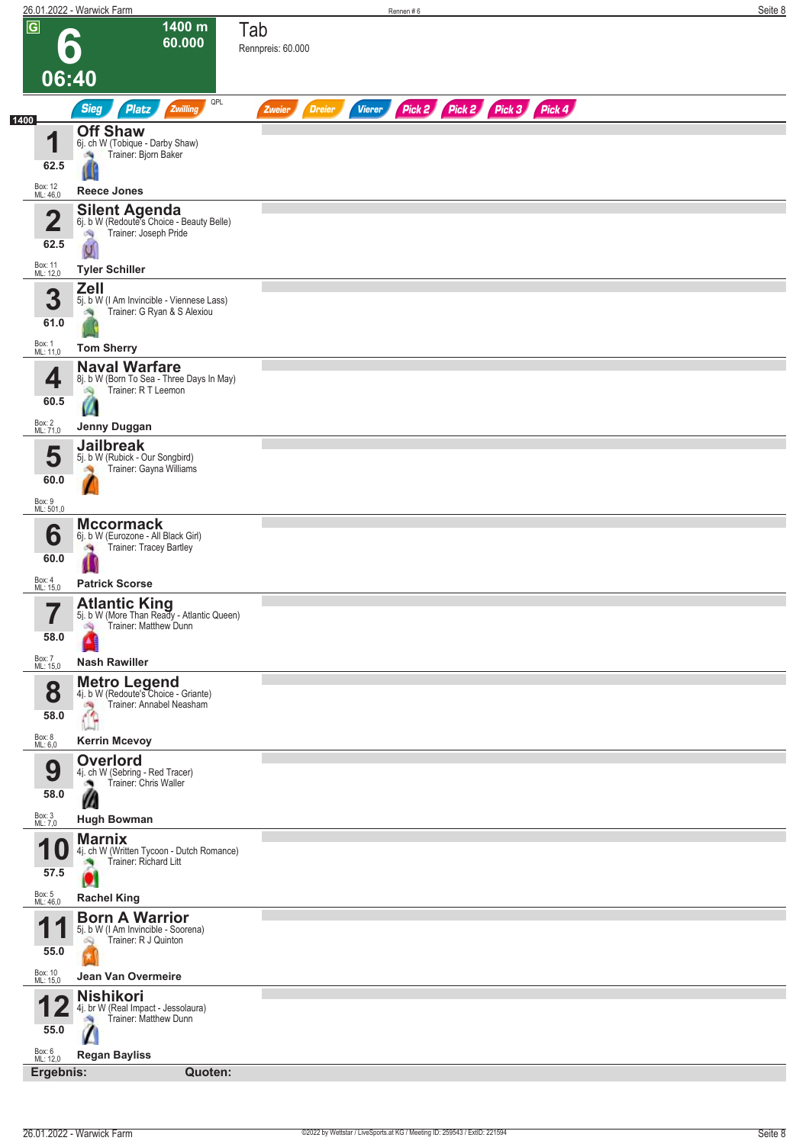|                         | 26.01.2022 - Warwick Farm                                                                        | Rennen#6                                                                | Seite 8 |
|-------------------------|--------------------------------------------------------------------------------------------------|-------------------------------------------------------------------------|---------|
| $\overline{G}$          | 1400 m<br>60.000                                                                                 | Tab<br>Rennpreis: 60.000                                                |         |
|                         | 06:40                                                                                            |                                                                         |         |
|                         | QPL<br><b>Sieg</b><br>Zwilling<br>Platz                                                          | Pick 2 Pick 2 Pick 3 Pick 4<br><b>Dreier</b><br><b>Vierer</b><br>Zweier |         |
| 1400                    | <b>Off Shaw</b>                                                                                  |                                                                         |         |
| 1                       | 6j. ch W (Tobique - Darby Shaw)<br>Trainer: Bjorn Baker<br>海                                     |                                                                         |         |
| 62.5                    |                                                                                                  |                                                                         |         |
| Box: 12<br>ML: 46,0     | <b>Reece Jones</b>                                                                               |                                                                         |         |
| $\overline{\mathbf{2}}$ | Silent Agenda<br>6j. b W (Redoute's Choice - Beauty Belle)<br>Trainer: Joseph Pride<br>沟         |                                                                         |         |
| 62.5                    |                                                                                                  |                                                                         |         |
| Box: 11<br>ML: 12,0     | <b>Tyler Schiller</b>                                                                            |                                                                         |         |
| 3<br>61.0               | <b>Zell</b><br>5j. b W (I Am Invincible - Viennese Lass)<br>Trainer: G Ryan & S Alexiou<br>鸿     |                                                                         |         |
| Box: 1<br>ML: 11,0      | <b>Tom Sherry</b>                                                                                |                                                                         |         |
| 4                       | <b>Naval Warfare</b><br>8j. b W (Born To Sea - Three Days In May)                                |                                                                         |         |
| 60.5                    | Trainer: R T Leemon<br>肉                                                                         |                                                                         |         |
| Box: 2<br>ML: 71,0      | Jenny Duggan                                                                                     |                                                                         |         |
| 5                       | <b>Jailbreak</b><br>5j. b W (Rubick - Our Songbird)                                              |                                                                         |         |
| 60.0                    | Trainer: Gayna Williams                                                                          |                                                                         |         |
| Box: 9<br>ML: 501,0     |                                                                                                  |                                                                         |         |
|                         | <b>Mccormack</b>                                                                                 |                                                                         |         |
| 6<br>60.0               | 6j. b W (Eurozone - All Black Girl)<br>Trainer: Tracey Bartley<br>$\sim$                         |                                                                         |         |
| Box: 4<br>ML: 15,0      | <b>Patrick Scorse</b>                                                                            |                                                                         |         |
| ۳,<br>I<br>58.0         | <b>Atlantic King</b><br>5j. b W (More Than Ready - Atlantic Queen)<br>Trainer: Matthew Dunn<br>鸿 |                                                                         |         |
| Box: 7<br>ML: 15,0      | <b>Nash Rawiller</b>                                                                             |                                                                         |         |
| 8                       | <b>Metro Legend</b><br>4j. b W (Redoute's Choice - Griante)                                      |                                                                         |         |
| 58.0                    | Trainer: Annabel Neasham<br>÷.<br>Œ                                                              |                                                                         |         |
| Box: 8<br>ML: 6,0       | <b>Kerrin Mcevoy</b>                                                                             |                                                                         |         |
| 9                       | <b>Overlord</b><br>4j. ch W (Sebring - Red Tracer)<br>Trainer: Chris Waller                      |                                                                         |         |
| 58.0                    | $\boldsymbol{\varnothing}$                                                                       |                                                                         |         |
| Box: 3<br>ML: 7,0       | <b>Hugh Bowman</b>                                                                               |                                                                         |         |
|                         | <b>Marnix</b><br>4j. ch W (Written Tycoon - Dutch Romance)<br>u                                  |                                                                         |         |
| 57.5                    | Trainer: Richard Litt<br>O                                                                       |                                                                         |         |
| Box: 5<br>ML: 46,0      | <b>Rachel King</b>                                                                               |                                                                         |         |
| 1                       | <b>Born A Warrior</b><br>5j. b W (I Am Invincible - Soorena)                                     |                                                                         |         |
| 55.0                    | Trainer: R J Quinton<br>Q                                                                        |                                                                         |         |
| Box: 10<br>ML: 15,0     | Jean Van Overmeire                                                                               |                                                                         |         |
| 55.0                    | <b>Nishikori</b><br>4j. br W (Real Impact - Jessolaura)<br>Trainer: Matthew Dunn                 |                                                                         |         |
| Box: 6<br>ML: 12,0      | <b>Regan Bayliss</b>                                                                             |                                                                         |         |
|                         | Ergebnis:<br>Quoten:                                                                             |                                                                         |         |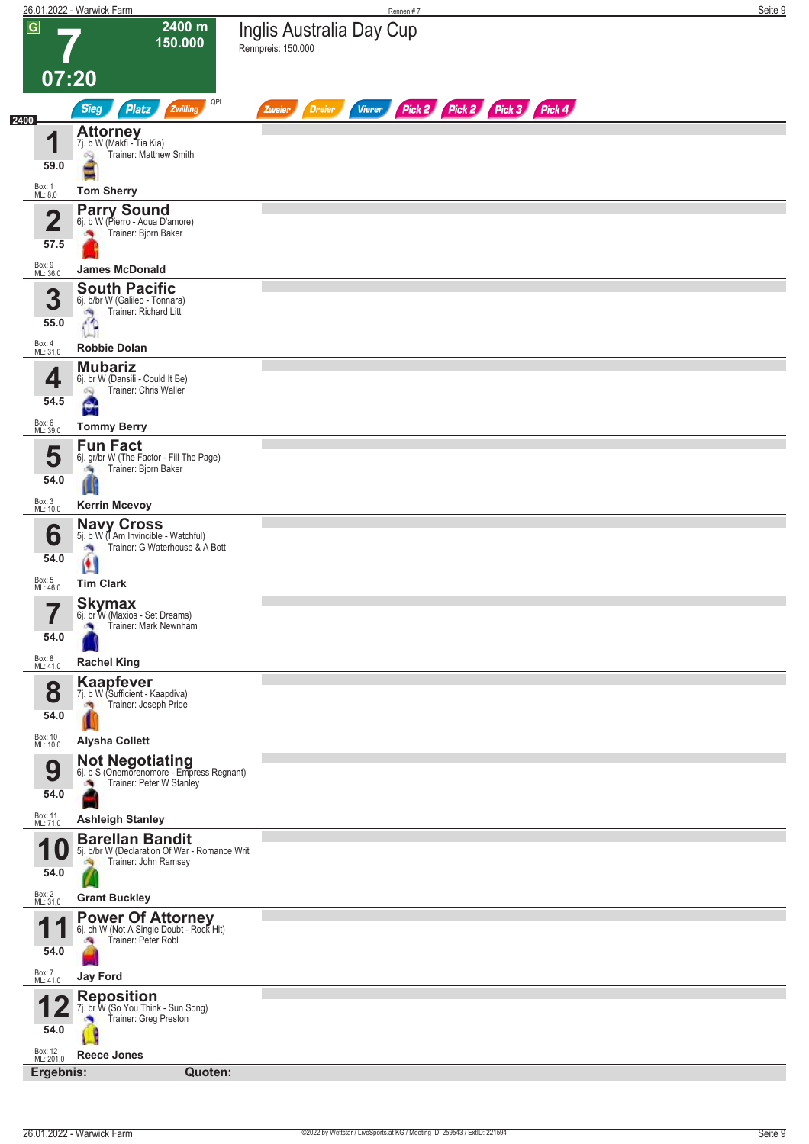|                         | 26.01.2022 - Warwick Farm                                                                  |                                                                         |  |
|-------------------------|--------------------------------------------------------------------------------------------|-------------------------------------------------------------------------|--|
| $\overline{\mathbf{G}}$ | 2400 m<br>150.000                                                                          | Inglis Australia Day Cup<br>Rennpreis: 150.000                          |  |
| 07:20                   |                                                                                            |                                                                         |  |
|                         | QPL<br><b>Sieg</b><br><b>Platz</b><br>Zwilling                                             | Pick 2 Pick 2 Pick 3 Pick 4<br><b>Dreier</b><br><b>Vierer</b><br>Zweier |  |
|                         | <b>Attorney</b>                                                                            |                                                                         |  |
| и<br>ш                  | 7j. b W (Makfi - Tia Kia)<br>Trainer: Matthew Smith<br>$\infty$                            |                                                                         |  |
| 59.0                    |                                                                                            |                                                                         |  |
| Box: 1<br>ML: 8,0       | <b>Tom Sherry</b>                                                                          |                                                                         |  |
| $\overline{\mathbf{2}}$ | <b>Parry Sound</b><br>6j. b W (Pierro - Aqua D'amore)<br>Trainer: Bjorn Baker<br><b>PA</b> |                                                                         |  |
| 57.5                    |                                                                                            |                                                                         |  |
| Box: 9<br>ML: 36,0      | <b>James McDonald</b>                                                                      |                                                                         |  |
| 3                       | <b>South Pacific</b><br>6j. b/br W (Galileo - Tonnara)                                     |                                                                         |  |
| 55.0                    | Trainer: Richard Litt<br>$\epsilon$                                                        |                                                                         |  |
| Box: 4<br>ML: 31,0      | <b>Robbie Dolan</b>                                                                        |                                                                         |  |
| 4                       | <b>Mubariz</b><br>6j. br W (Dansili - Could It Be)                                         |                                                                         |  |
| 54.5                    | Trainer: Chris Waller<br>吗<br>51                                                           |                                                                         |  |
| Box: 6<br>ML: 39,0      | v.<br><b>Tommy Berry</b>                                                                   |                                                                         |  |
|                         | <b>Fun Fact</b>                                                                            |                                                                         |  |
| 5<br>54.0               | 6j. gr/br W (The Factor - Fill The Page)<br>Trainer: Bjorn Baker<br><b>CO</b>              |                                                                         |  |
|                         |                                                                                            |                                                                         |  |
| Box: 3<br>ML: 10,0      | <b>Kerrin Mcevoy</b><br><b>Navy Cross</b><br>5j. b W (I Am Invincible - Watchful)          |                                                                         |  |
| 6                       | Trainer: G Waterhouse & A Bott                                                             |                                                                         |  |
| 54.0                    | Ш                                                                                          |                                                                         |  |
| Box: 5<br>ML: 46,0      | <b>Tim Clark</b>                                                                           |                                                                         |  |
| 7<br>ı                  | <b>Skymax</b><br>6j. br W (Maxios - Set Dreams)<br>Trainer: Mark Newnham                   |                                                                         |  |
| 54.0                    |                                                                                            |                                                                         |  |
| Box: 8<br>ML: 41,0      | <b>Rachel King</b>                                                                         |                                                                         |  |
| 8                       | <b>Kaapfever</b><br>7j. b W (Sufficient - Kaapdiva)                                        |                                                                         |  |
| 54.0                    | Trainer: Joseph Pride<br>J.                                                                |                                                                         |  |
| Box: 10<br>ML: 10,0     | <b>Alysha Collett</b>                                                                      |                                                                         |  |
| 9                       | <b>Not Negotiating</b><br>6j. b S (Onemorenomore - Empress Regnant)                        |                                                                         |  |
| 54.0                    | Trainer: Peter W Stanley                                                                   |                                                                         |  |
| Box: 11<br>ML: 71,0     | <b>Ashleigh Stanley</b>                                                                    |                                                                         |  |
| 4                       | <b>Barellan Bandit</b><br>5j. b/br W (Declaration Of War - Romance Writ                    |                                                                         |  |
| 1 U<br>54.0             | Trainer: John Ramsey                                                                       |                                                                         |  |
| Box: 2<br>ML: 31,0      | <b>Grant Buckley</b>                                                                       |                                                                         |  |
|                         | <b>Power Of Attorney</b><br>6j. ch W (Not A Single Doubt - Rock Hit)                       |                                                                         |  |
| 54.0                    | Trainer: Peter Robl                                                                        |                                                                         |  |
| Box: 7<br>ML: 41,0      | <b>Jay Ford</b>                                                                            |                                                                         |  |
|                         | <b>Reposition</b>                                                                          |                                                                         |  |
|                         | 7j. br W (So You Think - Sun Song)<br>Trainer: Greg Preston                                |                                                                         |  |
| 54.0                    |                                                                                            |                                                                         |  |
| Box: 12<br>ML: 201,0    | <b>Reece Jones</b><br>Quoten:<br>Ergebnis:                                                 |                                                                         |  |